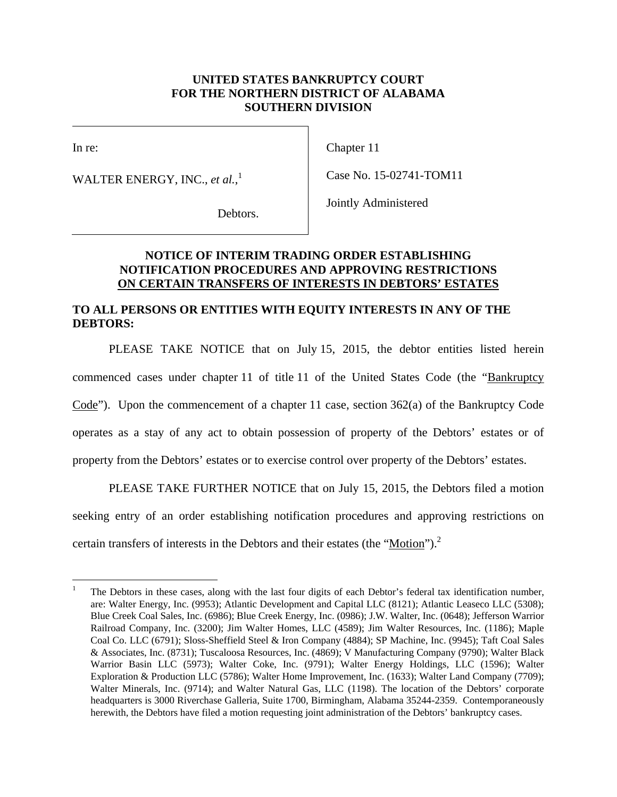## **UNITED STATES BANKRUPTCY COURT FOR THE NORTHERN DISTRICT OF ALABAMA SOUTHERN DIVISION**

 $\overline{\phantom{a}}$ 

In re:

WALTER ENERGY, INC., *et al.*, 1

Chapter 11

Case No. 15-02741-TOM11

Debtors.

Jointly Administered

## **NOTICE OF INTERIM TRADING ORDER ESTABLISHING NOTIFICATION PROCEDURES AND APPROVING RESTRICTIONS ON CERTAIN TRANSFERS OF INTERESTS IN DEBTORS' ESTATES**

## **TO ALL PERSONS OR ENTITIES WITH EQUITY INTERESTS IN ANY OF THE DEBTORS:**

PLEASE TAKE NOTICE that on July 15, 2015, the debtor entities listed herein commenced cases under chapter 11 of title 11 of the United States Code (the "Bankruptcy Code"). Upon the commencement of a chapter 11 case, section 362(a) of the Bankruptcy Code operates as a stay of any act to obtain possession of property of the Debtors' estates or of property from the Debtors' estates or to exercise control over property of the Debtors' estates.

PLEASE TAKE FURTHER NOTICE that on July 15, 2015, the Debtors filed a motion seeking entry of an order establishing notification procedures and approving restrictions on certain transfers of interests in the Debtors and their estates (the "Motion").<sup>2</sup>

<sup>1</sup> 1 The Debtors in these cases, along with the last four digits of each Debtor's federal tax identification number, are: Walter Energy, Inc. (9953); Atlantic Development and Capital LLC (8121); Atlantic Leaseco LLC (5308); Blue Creek Coal Sales, Inc. (6986); Blue Creek Energy, Inc. (0986); J.W. Walter, Inc. (0648); Jefferson Warrior Railroad Company, Inc. (3200); Jim Walter Homes, LLC (4589); Jim Walter Resources, Inc. (1186); Maple Coal Co. LLC (6791); Sloss-Sheffield Steel & Iron Company (4884); SP Machine, Inc. (9945); Taft Coal Sales & Associates, Inc. (8731); Tuscaloosa Resources, Inc. (4869); V Manufacturing Company (9790); Walter Black Warrior Basin LLC (5973); Walter Coke, Inc. (9791); Walter Energy Holdings, LLC (1596); Walter Exploration & Production LLC (5786); Walter Home Improvement, Inc. (1633); Walter Land Company (7709); Walter Minerals, Inc. (9714); and Walter Natural Gas, LLC (1198). The location of the Debtors' corporate headquarters is 3000 Riverchase Galleria, Suite 1700, Birmingham, Alabama 35244-2359. Contemporaneously herewith, the Debtors have filed a motion requesting joint administration of the Debtors' bankruptcy cases.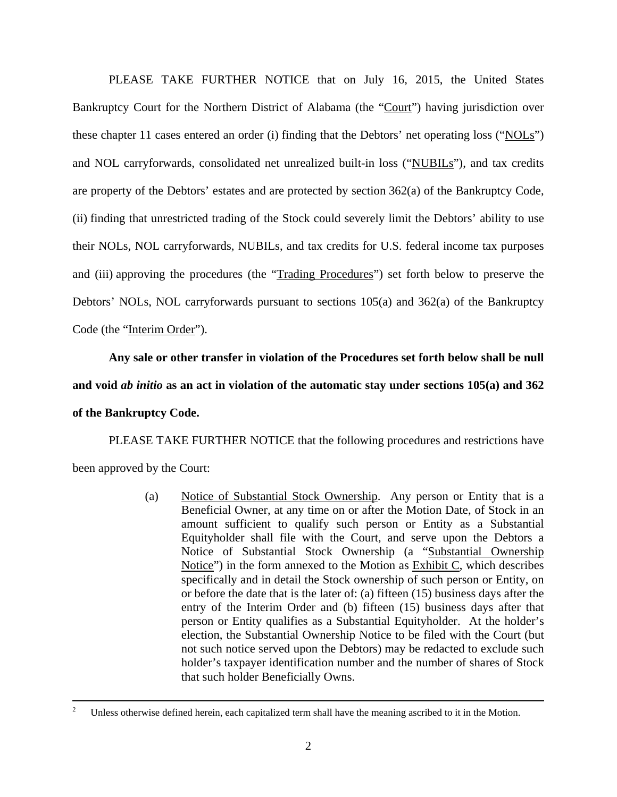PLEASE TAKE FURTHER NOTICE that on July 16, 2015, the United States Bankruptcy Court for the Northern District of Alabama (the "Court") having jurisdiction over these chapter 11 cases entered an order (i) finding that the Debtors' net operating loss ("NOLs") and NOL carryforwards, consolidated net unrealized built-in loss ("NUBILs"), and tax credits are property of the Debtors' estates and are protected by section 362(a) of the Bankruptcy Code, (ii) finding that unrestricted trading of the Stock could severely limit the Debtors' ability to use their NOLs, NOL carryforwards, NUBILs, and tax credits for U.S. federal income tax purposes and (iii) approving the procedures (the "Trading Procedures") set forth below to preserve the Debtors' NOLs, NOL carryforwards pursuant to sections 105(a) and 362(a) of the Bankruptcy Code (the "Interim Order").

**Any sale or other transfer in violation of the Procedures set forth below shall be null and void** *ab initio* **as an act in violation of the automatic stay under sections 105(a) and 362 of the Bankruptcy Code.** 

PLEASE TAKE FURTHER NOTICE that the following procedures and restrictions have been approved by the Court:

> (a) Notice of Substantial Stock Ownership. Any person or Entity that is a Beneficial Owner, at any time on or after the Motion Date, of Stock in an amount sufficient to qualify such person or Entity as a Substantial Equityholder shall file with the Court, and serve upon the Debtors a Notice of Substantial Stock Ownership (a "Substantial Ownership Notice") in the form annexed to the Motion as Exhibit C, which describes specifically and in detail the Stock ownership of such person or Entity, on or before the date that is the later of: (a) fifteen (15) business days after the entry of the Interim Order and (b) fifteen (15) business days after that person or Entity qualifies as a Substantial Equityholder. At the holder's election, the Substantial Ownership Notice to be filed with the Court (but not such notice served upon the Debtors) may be redacted to exclude such holder's taxpayer identification number and the number of shares of Stock that such holder Beneficially Owns.

 $\frac{1}{2}$ Unless otherwise defined herein, each capitalized term shall have the meaning ascribed to it in the Motion.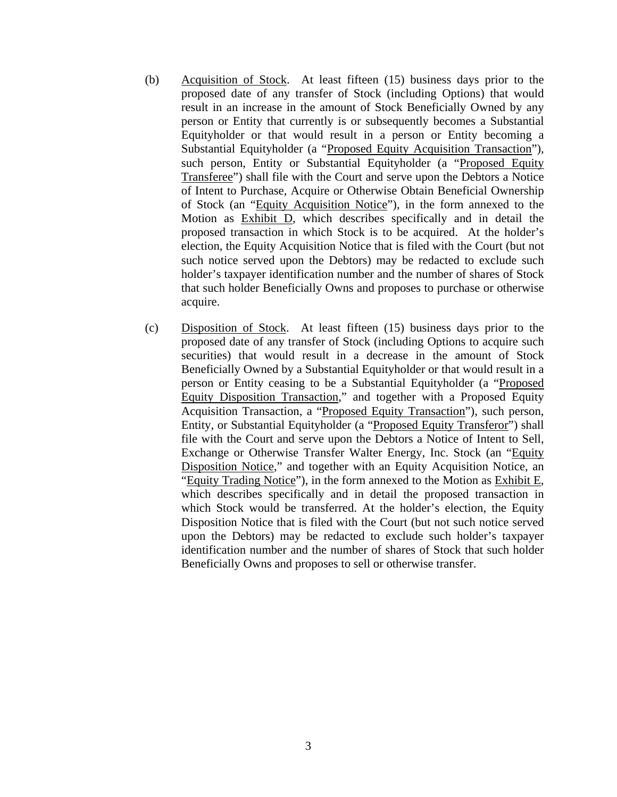- (b) Acquisition of Stock. At least fifteen (15) business days prior to the proposed date of any transfer of Stock (including Options) that would result in an increase in the amount of Stock Beneficially Owned by any person or Entity that currently is or subsequently becomes a Substantial Equityholder or that would result in a person or Entity becoming a Substantial Equityholder (a "Proposed Equity Acquisition Transaction"), such person, Entity or Substantial Equityholder (a "Proposed Equity Transferee") shall file with the Court and serve upon the Debtors a Notice of Intent to Purchase, Acquire or Otherwise Obtain Beneficial Ownership of Stock (an "Equity Acquisition Notice"), in the form annexed to the Motion as Exhibit D, which describes specifically and in detail the proposed transaction in which Stock is to be acquired. At the holder's election, the Equity Acquisition Notice that is filed with the Court (but not such notice served upon the Debtors) may be redacted to exclude such holder's taxpayer identification number and the number of shares of Stock that such holder Beneficially Owns and proposes to purchase or otherwise acquire.
- (c) Disposition of Stock. At least fifteen (15) business days prior to the proposed date of any transfer of Stock (including Options to acquire such securities) that would result in a decrease in the amount of Stock Beneficially Owned by a Substantial Equityholder or that would result in a person or Entity ceasing to be a Substantial Equityholder (a "Proposed Equity Disposition Transaction," and together with a Proposed Equity Acquisition Transaction, a "Proposed Equity Transaction"), such person, Entity, or Substantial Equityholder (a "Proposed Equity Transferor") shall file with the Court and serve upon the Debtors a Notice of Intent to Sell, Exchange or Otherwise Transfer Walter Energy, Inc. Stock (an "Equity Disposition Notice," and together with an Equity Acquisition Notice, an "Equity Trading Notice"), in the form annexed to the Motion as Exhibit E, which describes specifically and in detail the proposed transaction in which Stock would be transferred. At the holder's election, the Equity Disposition Notice that is filed with the Court (but not such notice served upon the Debtors) may be redacted to exclude such holder's taxpayer identification number and the number of shares of Stock that such holder Beneficially Owns and proposes to sell or otherwise transfer.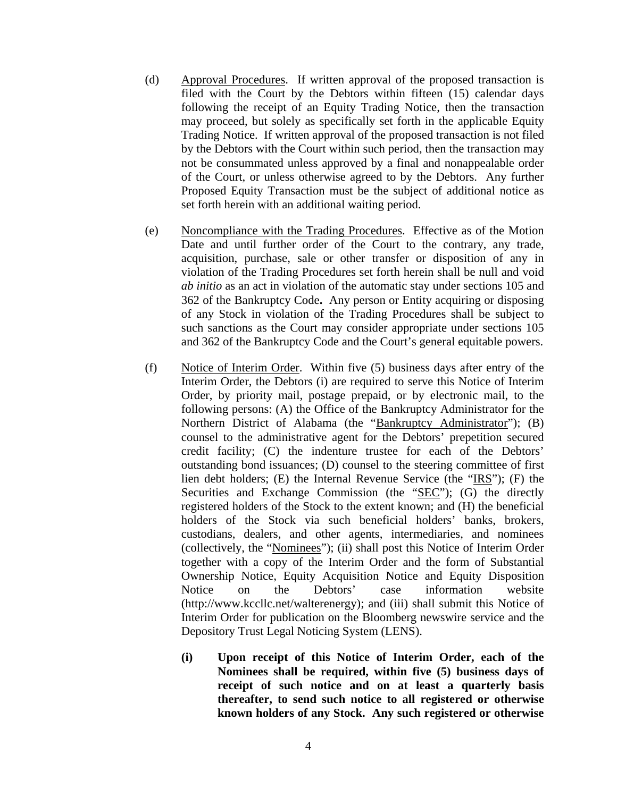- (d) Approval Procedures. If written approval of the proposed transaction is filed with the Court by the Debtors within fifteen (15) calendar days following the receipt of an Equity Trading Notice, then the transaction may proceed, but solely as specifically set forth in the applicable Equity Trading Notice. If written approval of the proposed transaction is not filed by the Debtors with the Court within such period, then the transaction may not be consummated unless approved by a final and nonappealable order of the Court, or unless otherwise agreed to by the Debtors. Any further Proposed Equity Transaction must be the subject of additional notice as set forth herein with an additional waiting period.
- (e) Noncompliance with the Trading Procedures. Effective as of the Motion Date and until further order of the Court to the contrary, any trade, acquisition, purchase, sale or other transfer or disposition of any in violation of the Trading Procedures set forth herein shall be null and void *ab initio* as an act in violation of the automatic stay under sections 105 and 362 of the Bankruptcy Code**.** Any person or Entity acquiring or disposing of any Stock in violation of the Trading Procedures shall be subject to such sanctions as the Court may consider appropriate under sections 105 and 362 of the Bankruptcy Code and the Court's general equitable powers.
- (f) Notice of Interim Order. Within five (5) business days after entry of the Interim Order, the Debtors (i) are required to serve this Notice of Interim Order, by priority mail, postage prepaid, or by electronic mail, to the following persons: (A) the Office of the Bankruptcy Administrator for the Northern District of Alabama (the "Bankruptcy Administrator"); (B) counsel to the administrative agent for the Debtors' prepetition secured credit facility; (C) the indenture trustee for each of the Debtors' outstanding bond issuances; (D) counsel to the steering committee of first lien debt holders; (E) the Internal Revenue Service (the "IRS"); (F) the Securities and Exchange Commission (the "SEC"); (G) the directly registered holders of the Stock to the extent known; and (H) the beneficial holders of the Stock via such beneficial holders' banks, brokers, custodians, dealers, and other agents, intermediaries, and nominees (collectively, the "Nominees"); (ii) shall post this Notice of Interim Order together with a copy of the Interim Order and the form of Substantial Ownership Notice, Equity Acquisition Notice and Equity Disposition Notice on the Debtors' case information website (http://www.kccllc.net/walterenergy); and (iii) shall submit this Notice of Interim Order for publication on the Bloomberg newswire service and the Depository Trust Legal Noticing System (LENS).
	- **(i) Upon receipt of this Notice of Interim Order, each of the Nominees shall be required, within five (5) business days of receipt of such notice and on at least a quarterly basis thereafter, to send such notice to all registered or otherwise known holders of any Stock. Any such registered or otherwise**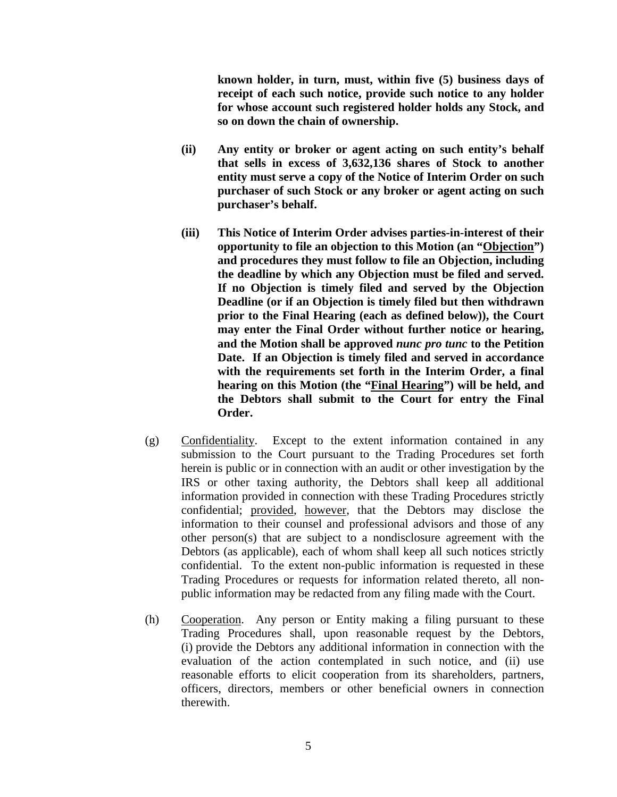**known holder, in turn, must, within five (5) business days of receipt of each such notice, provide such notice to any holder for whose account such registered holder holds any Stock, and so on down the chain of ownership.** 

- **(ii) Any entity or broker or agent acting on such entity's behalf that sells in excess of 3,632,136 shares of Stock to another entity must serve a copy of the Notice of Interim Order on such purchaser of such Stock or any broker or agent acting on such purchaser's behalf.**
- **(iii) This Notice of Interim Order advises parties-in-interest of their opportunity to file an objection to this Motion (an "Objection") and procedures they must follow to file an Objection, including the deadline by which any Objection must be filed and served. If no Objection is timely filed and served by the Objection Deadline (or if an Objection is timely filed but then withdrawn prior to the Final Hearing (each as defined below)), the Court may enter the Final Order without further notice or hearing, and the Motion shall be approved** *nunc pro tunc* **to the Petition Date. If an Objection is timely filed and served in accordance with the requirements set forth in the Interim Order, a final hearing on this Motion (the "Final Hearing") will be held, and the Debtors shall submit to the Court for entry the Final Order.**
- (g) Confidentiality. Except to the extent information contained in any submission to the Court pursuant to the Trading Procedures set forth herein is public or in connection with an audit or other investigation by the IRS or other taxing authority, the Debtors shall keep all additional information provided in connection with these Trading Procedures strictly confidential; provided, however, that the Debtors may disclose the information to their counsel and professional advisors and those of any other person(s) that are subject to a nondisclosure agreement with the Debtors (as applicable), each of whom shall keep all such notices strictly confidential. To the extent non-public information is requested in these Trading Procedures or requests for information related thereto, all nonpublic information may be redacted from any filing made with the Court.
- (h) Cooperation. Any person or Entity making a filing pursuant to these Trading Procedures shall, upon reasonable request by the Debtors, (i) provide the Debtors any additional information in connection with the evaluation of the action contemplated in such notice, and (ii) use reasonable efforts to elicit cooperation from its shareholders, partners, officers, directors, members or other beneficial owners in connection therewith.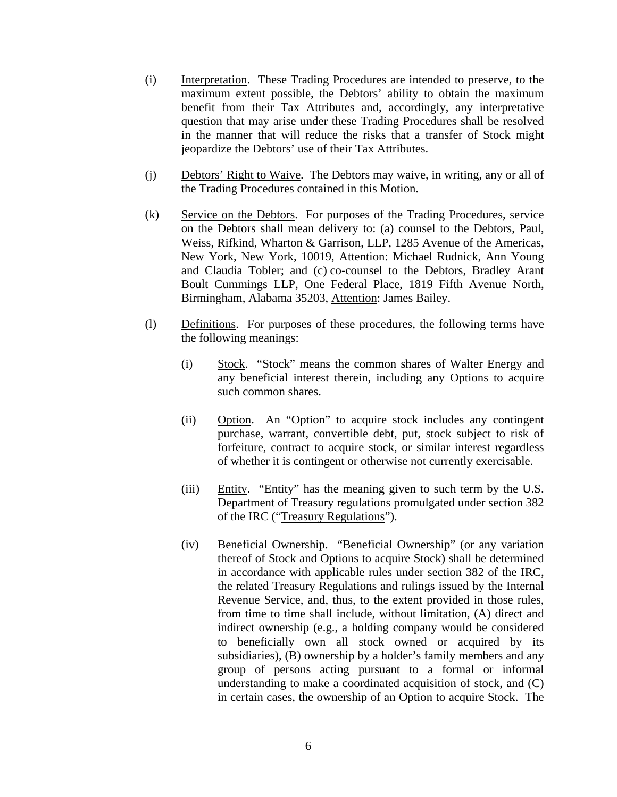- (i) Interpretation. These Trading Procedures are intended to preserve, to the maximum extent possible, the Debtors' ability to obtain the maximum benefit from their Tax Attributes and, accordingly, any interpretative question that may arise under these Trading Procedures shall be resolved in the manner that will reduce the risks that a transfer of Stock might jeopardize the Debtors' use of their Tax Attributes.
- (j) Debtors' Right to Waive. The Debtors may waive, in writing, any or all of the Trading Procedures contained in this Motion.
- (k) Service on the Debtors. For purposes of the Trading Procedures, service on the Debtors shall mean delivery to: (a) counsel to the Debtors, Paul, Weiss, Rifkind, Wharton & Garrison, LLP, 1285 Avenue of the Americas, New York, New York, 10019, Attention: Michael Rudnick, Ann Young and Claudia Tobler; and (c) co-counsel to the Debtors, Bradley Arant Boult Cummings LLP, One Federal Place, 1819 Fifth Avenue North, Birmingham, Alabama 35203, Attention: James Bailey.
- (l) Definitions. For purposes of these procedures, the following terms have the following meanings:
	- (i) Stock. "Stock" means the common shares of Walter Energy and any beneficial interest therein, including any Options to acquire such common shares.
	- (ii) Option. An "Option" to acquire stock includes any contingent purchase, warrant, convertible debt, put, stock subject to risk of forfeiture, contract to acquire stock, or similar interest regardless of whether it is contingent or otherwise not currently exercisable.
	- (iii) Entity. "Entity" has the meaning given to such term by the U.S. Department of Treasury regulations promulgated under section 382 of the IRC ("Treasury Regulations").
	- (iv) Beneficial Ownership. "Beneficial Ownership" (or any variation thereof of Stock and Options to acquire Stock) shall be determined in accordance with applicable rules under section 382 of the IRC, the related Treasury Regulations and rulings issued by the Internal Revenue Service, and, thus, to the extent provided in those rules, from time to time shall include, without limitation, (A) direct and indirect ownership (e.g., a holding company would be considered to beneficially own all stock owned or acquired by its subsidiaries), (B) ownership by a holder's family members and any group of persons acting pursuant to a formal or informal understanding to make a coordinated acquisition of stock, and (C) in certain cases, the ownership of an Option to acquire Stock. The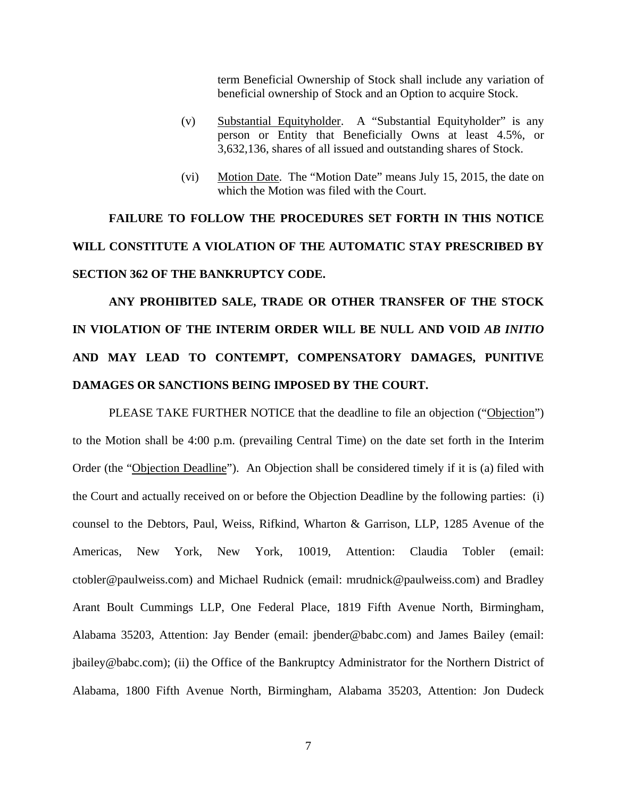term Beneficial Ownership of Stock shall include any variation of beneficial ownership of Stock and an Option to acquire Stock.

- (v) Substantial Equityholder. A "Substantial Equityholder" is any person or Entity that Beneficially Owns at least 4.5%, or 3,632,136, shares of all issued and outstanding shares of Stock.
- (vi) Motion Date. The "Motion Date" means July 15, 2015, the date on which the Motion was filed with the Court.

**FAILURE TO FOLLOW THE PROCEDURES SET FORTH IN THIS NOTICE WILL CONSTITUTE A VIOLATION OF THE AUTOMATIC STAY PRESCRIBED BY SECTION 362 OF THE BANKRUPTCY CODE.** 

**ANY PROHIBITED SALE, TRADE OR OTHER TRANSFER OF THE STOCK IN VIOLATION OF THE INTERIM ORDER WILL BE NULL AND VOID** *AB INITIO* **AND MAY LEAD TO CONTEMPT, COMPENSATORY DAMAGES, PUNITIVE DAMAGES OR SANCTIONS BEING IMPOSED BY THE COURT.** 

PLEASE TAKE FURTHER NOTICE that the deadline to file an objection ("Objection") to the Motion shall be 4:00 p.m. (prevailing Central Time) on the date set forth in the Interim Order (the "Objection Deadline"). An Objection shall be considered timely if it is (a) filed with the Court and actually received on or before the Objection Deadline by the following parties: (i) counsel to the Debtors, Paul, Weiss, Rifkind, Wharton & Garrison, LLP, 1285 Avenue of the Americas, New York, New York, 10019, Attention: Claudia Tobler (email: ctobler@paulweiss.com) and Michael Rudnick (email: mrudnick@paulweiss.com) and Bradley Arant Boult Cummings LLP, One Federal Place, 1819 Fifth Avenue North, Birmingham, Alabama 35203, Attention: Jay Bender (email: jbender@babc.com) and James Bailey (email: jbailey@babc.com); (ii) the Office of the Bankruptcy Administrator for the Northern District of Alabama, 1800 Fifth Avenue North, Birmingham, Alabama 35203, Attention: Jon Dudeck